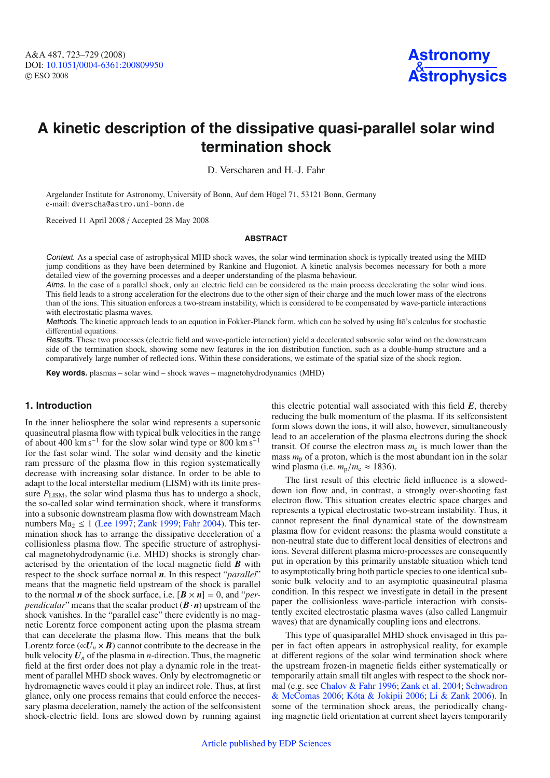

# **A kinetic description of the dissipative quasi-parallel solar wind termination shock**

D. Verscharen and H.-J. Fahr

Argelander Institute for Astronomy, University of Bonn, Auf dem Hügel 71, 53121 Bonn, Germany e-mail: dverscha@astro.uni-bonn.de

Received 11 April 2008 / Accepted 28 May 2008

#### **ABSTRACT**

Context. As a special case of astrophysical MHD shock waves, the solar wind termination shock is typically treated using the MHD jump conditions as they have been determined by Rankine and Hugoniot. A kinetic analysis becomes necessary for both a more detailed view of the governing processes and a deeper understanding of the plasma behaviour.

Aims. In the case of a parallel shock, only an electric field can be considered as the main process decelerating the solar wind ions. This field leads to a strong acceleration for the electrons due to the other sign of their charge and the much lower mass of the electrons than of the ions. This situation enforces a two-stream instability, which is considered to be compensated by wave-particle interactions with electrostatic plasma waves.

Methods. The kinetic approach leads to an equation in Fokker-Planck form, which can be solved by using Itō's calculus for stochastic differential equations.

Results. These two processes (electric field and wave-particle interaction) yield a decelerated subsonic solar wind on the downstream side of the termination shock, showing some new features in the ion distribution function, such as a double-hump structure and a comparatively large number of reflected ions. Within these considerations, we estimate of the spatial size of the shock region.

**Key words.** plasmas – solar wind – shock waves – magnetohydrodynamics (MHD)

# **1. Introduction**

In the inner heliosphere the solar wind represents a supersonic quasineutral plasma flow with typical bulk velocities in the range of about  $400 \text{ km s}^{-1}$  for the slow solar wind type or 800 km s<sup>-1</sup> for the fast solar wind. The solar wind density and the kinetic ram pressure of the plasma flow in this region systematically decrease with increasing solar distance. In order to be able to adapt to the local interstellar medium (LISM) with its finite pressure  $P_{\text{LISM}}$ , the solar wind plasma thus has to undergo a shock, the so-called solar wind termination shock, where it transforms into a subsonic downstream plasma flow with downstream Mach numbers Ma<sub>2</sub>  $\leq$  1 [\(Lee 1997;](#page-6-0) [Zank 1999;](#page-6-1) [Fahr 2004](#page-6-2)). This termination shock has to arrange the dissipative deceleration of a collisionless plasma flow. The specific structure of astrophysical magnetohydrodynamic (i.e. MHD) shocks is strongly characterised by the orientation of the local magnetic field *B* with respect to the shock surface normal *n*. In this respect "*parallel*" means that the magnetic field upstream of the shock is parallel to the normal *n* of the shock surface, i.e.  $[\mathbf{B} \times \mathbf{n}] = 0$ , and "*perpendicular*" means that the scalar product  $(B \cdot n)$  upstream of the shock vanishes. In the "parallel case" there evidently is no magnetic Lorentz force component acting upon the plasma stream that can decelerate the plasma flow. This means that the bulk Lorentz force ( $\alpha U_n \times B$ ) cannot contribute to the decrease in the bulk velocity  $U_n$  of the plasma in *n*-direction. Thus, the magnetic field at the first order does not play a dynamic role in the treatment of parallel MHD shock waves. Only by electromagnetic or hydromagnetic waves could it play an indirect role. Thus, at first glance, only one process remains that could enforce the neccessary plasma deceleration, namely the action of the selfconsistent shock-electric field. Ions are slowed down by running against

this electric potential wall associated with this field *E*, thereby reducing the bulk momentum of the plasma. If its selfconsistent form slows down the ions, it will also, however, simultaneously lead to an acceleration of the plasma electrons during the shock transit. Of course the electron mass  $m<sub>e</sub>$  is much lower than the mass  $m<sub>p</sub>$  of a proton, which is the most abundant ion in the solar wind plasma (i.e.  $m_p/m_e \approx 1836$ ).

The first result of this electric field influence is a sloweddown ion flow and, in contrast, a strongly over-shooting fast electron flow. This situation creates electric space charges and represents a typical electrostatic two-stream instability. Thus, it cannot represent the final dynamical state of the downstream plasma flow for evident reasons: the plasma would constitute a non-neutral state due to different local densities of electrons and ions. Several different plasma micro-processes are consequently put in operation by this primarily unstable situation which tend to asymptotically bring both particle species to one identical subsonic bulk velocity and to an asymptotic quasineutral plasma condition. In this respect we investigate in detail in the present paper the collisionless wave-particle interaction with consistently excited electrostatic plasma waves (also called Langmuir waves) that are dynamically coupling ions and electrons.

This type of quasiparallel MHD shock envisaged in this paper in fact often appears in astrophysical reality, for example at different regions of the solar wind termination shock where the upstream frozen-in magnetic fields either systematically or temporarily attain small tilt angles with respect to the shock normal (e.g. see [Chalov & Fahr 1996](#page-6-3)[;](#page-6-5) [Zank et al. 2004;](#page-6-4) Schwadron & McComas [2006](#page-6-5); [Kóta & Jokipii 2006;](#page-6-6) [Li & Zank 2006\)](#page-6-7). In some of the termination shock areas, the periodically changing magnetic field orientation at current sheet layers temporarily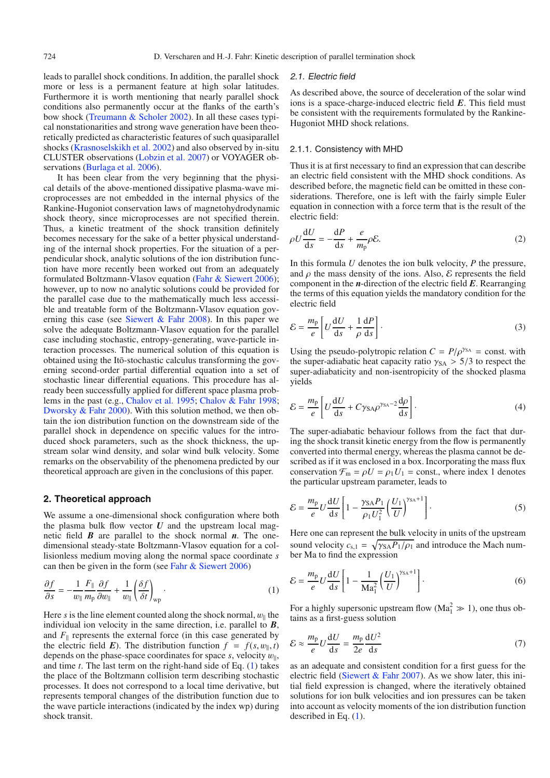leads to parallel shock conditions. In addition, the parallel shock more or less is a permanent feature at high solar latitudes. Furthermore it is worth mentioning that nearly parallel shock conditions also permanently occur at the flanks of the earth's bow shock [\(Treumann & Scholer 2002\)](#page-6-8). In all these cases typical nonstationarities and strong wave generation have been theoretically predicted as characteristic features of such quasiparallel shocks [\(Krasnoselskikh et al. 2002](#page-6-9)) and also observed by in-situ CLUSTER observations [\(Lobzin et al. 2007](#page-6-10)) or VOYAGER ob-servations [\(Burlaga et al. 2006](#page-6-11)).

It has been clear from the very beginning that the physical details of the above-mentioned dissipative plasma-wave microprocesses are not embedded in the internal physics of the Rankine-Hugoniot conservation laws of magnetohydrodynamic shock theory, since microprocesses are not specified therein. Thus, a kinetic treatment of the shock transition definitely becomes necessary for the sake of a better physical understanding of the internal shock properties. For the situation of a perpendicular shock, analytic solutions of the ion distribution function have more recently been worked out from an adequately formulated Boltzmann-Vlasov equation [\(Fahr & Siewert 2006](#page-6-12)); however, up to now no analytic solutions could be provided for the parallel case due to the mathematically much less accessible and treatable form of the Boltzmann-Vlasov equation gov-erning this case (see [Siewert & Fahr 2008](#page-6-13)). In this paper we solve the adequate Boltzmann-Vlasov equation for the parallel case including stochastic, entropy-generating, wave-particle interaction processes. The numerical solution of this equation is obtained using the Itō-stochastic calculus transforming the governing second-order partial differential equation into a set of stochastic linear differential equations. This procedure has already been successfully applied for different space plasma problems in the past (e.g., [Chalov et al. 1995;](#page-6-14) [Chalov & Fahr 1998](#page-6-15); [Dworsky & Fahr 2000](#page-6-16)). With this solution method, we then obtain the ion distribution function on the downstream side of the parallel shock in dependence on specific values for the introduced shock parameters, such as the shock thickness, the upstream solar wind density, and solar wind bulk velocity. Some remarks on the observability of the phenomena predicted by our theoretical approach are given in the conclusions of this paper.

## <span id="page-1-0"></span>**2. Theoretical approach**

We assume a one-dimensional shock configuration where both the plasma bulk flow vector  $U$  and the upstream local magnetic field *B* are parallel to the shock normal *n*. The onedimensional steady-state Boltzmann-Vlasov equation for a collisionless medium moving along the normal space coordinate *s* can then be given in the form (see [Fahr & Siewert 2006](#page-6-12))

$$
\frac{\partial f}{\partial s} = -\frac{1}{w_{\parallel}} \frac{F_{\parallel}}{m_{\rm p}} \frac{\partial f}{\partial w_{\parallel}} + \frac{1}{w_{\parallel}} \left( \frac{\delta f}{\delta t} \right)_{\rm wp} . \tag{1}
$$

Here *s* is the line element counted along the shock normal,  $w_{\parallel}$  the individual ion velocity in the same direction, i.e. parallel to *B*, and  $F_{\parallel}$  represents the external force (in this case generated by the electric field *E*). The distribution function  $f = f(s, w_{\parallel}, t)$ depends on the phase-space coordinates for space  $s$ , velocity  $w_{\parallel}$ , and time *t*. The last term on the right-hand side of Eq. [\(1\)](#page-1-0) takes the place of the Boltzmann collision term describing stochastic processes. It does not correspond to a local time derivative, but represents temporal changes of the distribution function due to the wave particle interactions (indicated by the index wp) during shock transit.

#### 2.1. Electric field

As described above, the source of deceleration of the solar wind ions is a space-charge-induced electric field *E*. This field must be consistent with the requirements formulated by the Rankine-Hugoniot MHD shock relations.

#### 2.1.1. Consistency with MHD

<span id="page-1-2"></span>Thus it is at first necessary to find an expression that can describe an electric field consistent with the MHD shock conditions. As described before, the magnetic field can be omitted in these considerations. Therefore, one is left with the fairly simple Euler equation in connection with a force term that is the result of the electric field:

$$
\rho U \frac{\mathrm{d}U}{\mathrm{d}s} = -\frac{\mathrm{d}P}{\mathrm{d}s} + \frac{e}{m_p} \rho \mathcal{E}.\tag{2}
$$

In this formula *U* denotes the ion bulk velocity, *P* the pressure, and  $\rho$  the mass density of the ions. Also,  $\mathcal E$  represents the field component in the *n*-direction of the electric field *E*. Rearranging the terms of this equation yields the mandatory condition for the electric field

$$
\mathcal{E} = \frac{m_{\rm p}}{e} \left[ U \frac{\mathrm{d}U}{\mathrm{d}s} + \frac{1}{\rho} \frac{\mathrm{d}P}{\mathrm{d}s} \right]. \tag{3}
$$

Using the pseudo-polytropic relation  $C = P/\rho^{\gamma_{SA}} = \text{const.}$  with the super-adiabatic heat capacity ratio  $\gamma_{SA} > 5/3$  to respect the super-adiabaticity and non-isentropicity of the shocked plasma yields

$$
\mathcal{E} = \frac{m_{\rm p}}{e} \left[ U \frac{\mathrm{d}U}{\mathrm{d}s} + C \gamma_{\rm SA} \rho^{\gamma_{\rm SA} - 2} \frac{\mathrm{d} \rho}{\mathrm{d}s} \right]. \tag{4}
$$

The super-adiabatic behaviour follows from the fact that during the shock transit kinetic energy from the flow is permanently converted into thermal energy, whereas the plasma cannot be described as if it was enclosed in a box. Incorporating the mass flux conservation  $\mathcal{F}_{m} = \rho U = \rho_1 U_1$  = const., where index 1 denotes the particular upstream parameter, leads to

<span id="page-1-1"></span>
$$
\mathcal{E} = \frac{m_{\rm p}}{e} U \frac{\mathrm{d} U}{\mathrm{d} s} \left[ 1 - \frac{\gamma_{\rm SA} P_1}{\rho_1 U_1^2} \left( \frac{U_1}{U} \right)^{\gamma_{\rm SA} + 1} \right]. \tag{5}
$$

Here one can represent the bulk velocity in units of the upstream sound velocity  $c_{s,1} = \sqrt{\gamma_{SA} P_1/\rho_1}$  and introduce the Mach number Ma to find the expression

$$
\mathcal{E} = \frac{m_{\rm p}}{e} U \frac{\mathrm{d} U}{\mathrm{d} s} \left[ 1 - \frac{1}{\mathrm{Ma}_1^2} \left( \frac{U_1}{U} \right)^{\gamma_{\rm SA} + 1} \right]. \tag{6}
$$

For a highly supersonic upstream flow  $(Ma_1^2 \gg 1)$ , one thus obtains as a first-guess solution

$$
\mathcal{E} \approx \frac{m_{\rm p}}{e} U \frac{\mathrm{d}U}{\mathrm{d}s} = \frac{m_{\rm p}}{2e} \frac{\mathrm{d}U^2}{\mathrm{d}s} \tag{7}
$$

as an adequate and consistent condition for a first guess for the electric field (Siewert  $&$  Fahr 2007). As we show later, this initial field expression is changed, where the iteratively obtained solutions for ion bulk velocities and ion pressures can be taken into account as velocity moments of the ion distribution function described in Eq. [\(1\)](#page-1-0).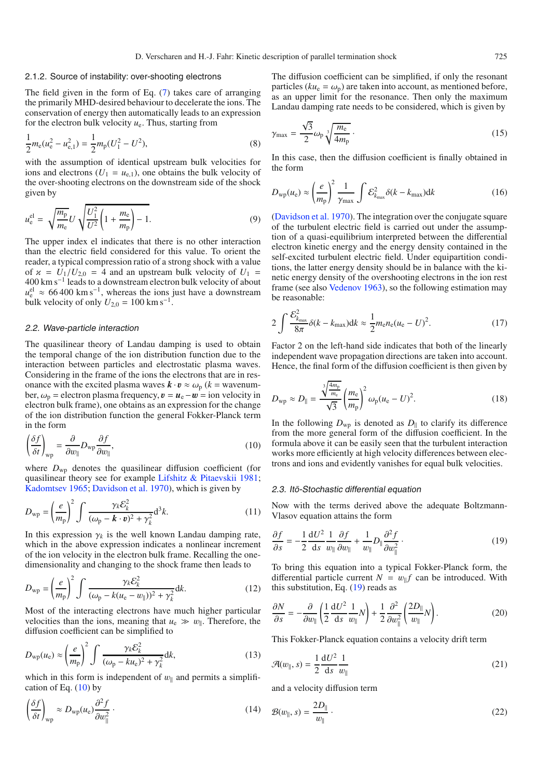#### <span id="page-2-3"></span>2.1.2. Source of instability: over-shooting electrons

The field given in the form of Eq. [\(7\)](#page-1-1) takes care of arranging the primarily MHD-desired behaviour to decelerate the ions. The conservation of energy then automatically leads to an expression for the electron bulk velocity  $u_{e}$ . Thus, starting from

$$
\frac{1}{2}m_e(u_e^2 - u_{e,1}^2) = \frac{1}{2}m_p(U_1^2 - U^2),\tag{8}
$$

with the assumption of identical upstream bulk velocities for ions and electrons ( $U_1 = u_{e,1}$ ), one obtains the bulk velocity of the over-shooting electrons on the downstream side of the shock given by

$$
u_{e}^{\text{el}} = \sqrt{\frac{m_{\text{p}}}{m_{\text{e}}}} U \sqrt{\frac{U_{1}^{2}}{U^{2}} \left(1 + \frac{m_{\text{e}}}{m_{\text{p}}}\right) - 1}.
$$
 (9)

The upper index el indicates that there is no other interaction than the electric field considered for this value. To orient the reader, a typical compression ratio of a strong shock with a value of  $x = U_1/U_{2,0} = 4$  and an upstream bulk velocity of  $U_1 =$ 400 km s−<sup>1</sup> leads to a downstream electron bulk velocity of about  $u_{\text{e}}^{\text{el}} \approx 66\,400 \text{ km s}^{-1}$ , whereas the ions just have a downstream bulk velocity of only  $U_{2,0} = 100 \text{ km s}^{-1}$ .

## <span id="page-2-0"></span>2.2. Wave-particle interaction

The quasilinear theory of Landau damping is used to obtain the temporal change of the ion distribution function due to the interaction between particles and electrostatic plasma waves. Considering in the frame of the ions the electrons that are in resonance with the excited plasma waves  $\mathbf{k} \cdot \mathbf{v} \approx \omega_{\text{p}}$  ( $k = \text{wavenum}$ ber,  $\omega_p$  = electron plasma frequency,  $\mathbf{v} = \mathbf{u}_e - \mathbf{w} =$  ion velocity in electron bulk frame), one obtains as an expression for the change of the ion distribution function the general Fokker-Planck term in the form

$$
\left(\frac{\delta f}{\delta t}\right)_{\rm wp} = \frac{\partial}{\partial w_{\parallel}} D_{\rm wp} \frac{\partial f}{\partial w_{\parallel}},\tag{10}
$$

where  $D_{\text{wp}}$  denotes the quasilinear diffusion coefficient (for quasilinear theory see for example [Lifshitz & Pitaevskii 1981](#page-6-18); [Kadomtsev 1965;](#page-6-19) [Davidson et al. 1970\)](#page-6-20), which is given by

$$
D_{\rm wp} = \left(\frac{e}{m_{\rm p}}\right)^2 \int \frac{\gamma_k \mathcal{E}_k^2}{(\omega_{\rm p} - \mathbf{k} \cdot \mathbf{v})^2 + \gamma_k^2} d^3k. \tag{11}
$$

In this expression  $\gamma_k$  is the well known Landau damping rate, which in the above expression indicates a nonlinear increment of the ion velocity in the electron bulk frame. Recalling the onedimensionality and changing to the shock frame then leads to

$$
D_{\rm wp} = \left(\frac{e}{m_{\rm p}}\right)^2 \int \frac{\gamma_k \mathcal{E}_k^2}{(\omega_{\rm p} - k(u_{\rm e} - w_{\parallel}))^2 + \gamma_k^2} \mathrm{d}k. \tag{12}
$$

Most of the interacting electrons have much higher particular velocities than the ions, meaning that  $u_e \gg w_{\parallel}$ . Therefore, the diffusion coefficient can be simplified to

$$
D_{\rm wp}(u_{\rm e}) \approx \left(\frac{e}{m_{\rm p}}\right)^2 \int \frac{\gamma_k \mathcal{E}_k^2}{(\omega_{\rm p} - ku_{\rm e})^2 + \gamma_k^2} \mathrm{d}k,\tag{13}
$$

which in this form is independent of  $w_{\parallel}$  and permits a simplification of Eq.  $(10)$  by

$$
\left(\frac{\delta f}{\delta t}\right)_{\rm wp} \approx D_{\rm wp}(u_{\rm e})\frac{\partial^2 f}{\partial w_{\parallel}^2} \tag{14}
$$

The diffusion coefficient can be simplified, if only the resonant particles ( $ku_e = \omega_p$ ) are taken into account, as mentioned before, as an upper limit for the resonance. Then only the maximum Landau damping rate needs to be considered, which is given by

$$
\gamma_{\text{max}} = \frac{\sqrt{3}}{2} \omega_{\text{p}} \sqrt[3]{\frac{m_{\text{e}}}{4m_{\text{p}}}} \,. \tag{15}
$$

In this case, then the diffusion coefficient is finally obtained in the form

<span id="page-2-4"></span>
$$
D_{\rm wp}(u_{\rm e}) \approx \left(\frac{e}{m_{\rm p}}\right)^2 \frac{1}{\gamma_{\rm max}} \int \mathcal{E}_{k_{\rm max}}^2 \delta(k - k_{\rm max}) \mathrm{d}k \tag{16}
$$

[\(Davidson et al. 1970](#page-6-20)). The integration over the conjugate square of the turbulent electric field is carried out under the assumption of a quasi-equilibrium interpreted between the differential electron kinetic energy and the energy density contained in the self-excited turbulent electric field. Under equipartition conditions, the latter energy density should be in balance with the kinetic energy density of the overshooting electrons in the ion rest frame (see also [Vedenov 1963](#page-6-21)), so the following estimation may be reasonable:

$$
2\int \frac{\mathcal{E}_{k_{\text{max}}}^2}{8\pi} \delta(k - k_{\text{max}}) dk \approx \frac{1}{2} m_{\text{e}} n_{\text{e}} (u_{\text{e}} - U)^2.
$$
 (17)

Factor 2 on the left-hand side indicates that both of the linearly independent wave propagation directions are taken into account. Hence, the final form of the diffusion coefficient is then given by

$$
D_{\rm wp} \approx D_{\parallel} = \frac{\sqrt[3]{\frac{4m_{\rm p}}{m_{\rm e}}}}{\sqrt{3}} \left(\frac{m_{\rm e}}{m_{\rm p}}\right)^2 \omega_{\rm p}(u_{\rm e} - U)^2.
$$
 (18)

<span id="page-2-1"></span>In the following  $D_{wp}$  is denoted as  $D_{\parallel}$  to clarify its difference from the more general form of the diffusion coefficient. In the formula above it can be easily seen that the turbulent interaction works more efficiently at high velocity differences between electrons and ions and evidently vanishes for equal bulk velocities.

#### <span id="page-2-2"></span>2.3. Itō-Stochastic differential equation

Now with the terms derived above the adequate Boltzmann-Vlasov equation attains the form

$$
\frac{\partial f}{\partial s} = -\frac{1}{2} \frac{dU^2}{ds} \frac{1}{w_{\parallel}} \frac{\partial f}{\partial w_{\parallel}} + \frac{1}{w_{\parallel}} D_{\parallel} \frac{\partial^2 f}{\partial w_{\parallel}^2} \,. \tag{19}
$$

To bring this equation into a typical Fokker-Planck form, the differential particle current  $N = w_{\parallel} f$  can be introduced. With this substitution, Eq.  $(19)$  reads as

$$
\frac{\partial N}{\partial s} = -\frac{\partial}{\partial w_{\parallel}} \left( \frac{1}{2} \frac{\mathrm{d} U^2}{\mathrm{d} s} \frac{1}{w_{\parallel}} N \right) + \frac{1}{2} \frac{\partial^2}{\partial w_{\parallel}^2} \left( \frac{2D_{\parallel}}{w_{\parallel}} N \right). \tag{20}
$$

This Fokker-Planck equation contains a velocity drift term

$$
\mathcal{A}(w_{\parallel}, s) = \frac{1}{2} \frac{\mathrm{d}U^2}{\mathrm{d}s} \frac{1}{w_{\parallel}}
$$
\n<sup>(21)</sup>

and a velocity diffusion term

$$
\mathcal{B}(w_{\parallel}, s) = \frac{2D_{\parallel}}{w_{\parallel}} \,. \tag{22}
$$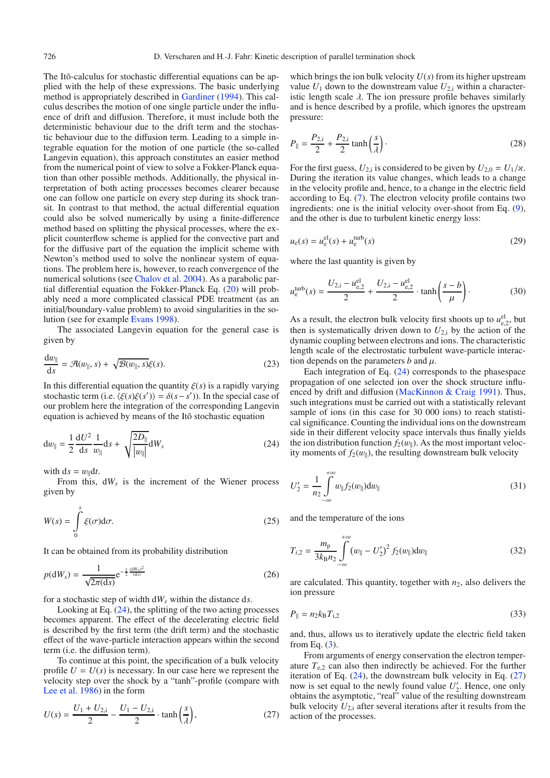The Itō-calculus for stochastic differential equations can be applied with the help of these expressions. The basic underlying method is appropriately described in [Gardiner](#page-6-22) [\(1994](#page-6-22)). This calculus describes the motion of one single particle under the influence of drift and diffusion. Therefore, it must include both the deterministic behaviour due to the drift term and the stochastic behaviour due to the diffusion term. Leading to a simple integrable equation for the motion of one particle (the so-called Langevin equation), this approach constitutes an easier method from the numerical point of view to solve a Fokker-Planck equation than other possible methods. Additionally, the physical interpretation of both acting processes becomes clearer because one can follow one particle on every step during its shock transit. In contrast to that method, the actual differential equation could also be solved numerically by using a finite-difference method based on splitting the physical processes, where the explicit counterflow scheme is applied for the convective part and for the diffusive part of the equation the implicit scheme with Newton's method used to solve the nonlinear system of equations. The problem here is, however, to reach convergence of the numerical solutions (see [Chalov et al. 2004\)](#page-6-23). As a parabolic partial differential equation the Fokker-Planck Eq. [\(20\)](#page-2-2) will probably need a more complicated classical PDE treatment (as an initial/boundary-value problem) to avoid singularities in the solution (see for example [Evans 1998](#page-6-24)).

<span id="page-3-0"></span>The associated Langevin equation for the general case is given by

$$
\frac{\mathrm{d}w_{\parallel}}{\mathrm{d}s} = \mathcal{A}(w_{\parallel}, s) + \sqrt{\mathcal{B}(w_{\parallel}, s)}\xi(s). \tag{23}
$$

In this differential equation the quantity  $\xi(s)$  is a rapidly varying stochastic term (i.e.  $\langle \xi(s)\xi(s')\rangle = \delta(s-s')$ ). In the special case of our problem here the integration of the corresponding Langevin equation is achieved by means of the Ito stochastic equation

$$
dw_{\parallel} = \frac{1}{2} \frac{dU^2}{ds} \frac{1}{w_{\parallel}} ds + \sqrt{\frac{2D_{\parallel}}{|w_{\parallel}|}} dW_s
$$
 (24)

with  $ds = w_0 dt$ .

From this,  $dW_s$  is the increment of the Wiener process given by

$$
W(s) = \int_{0}^{s} \xi(\sigma) d\sigma.
$$
 (25)

It can be obtained from its probability distribution

<span id="page-3-1"></span>
$$
p(\mathrm{d}W_s) = \frac{1}{\sqrt{2\pi(\mathrm{d}s)}} e^{-\frac{1}{2}\frac{(\mathrm{d}W_s)^2}{(\mathrm{d}s)}}\tag{26}
$$

for a stochastic step of width d*Ws* within the distance d*s*.

Looking at Eq.  $(24)$ , the splitting of the two acting processes becomes apparent. The effect of the decelerating electric field is described by the first term (the drift term) and the stochastic effect of the wave-particle interaction appears within the second term (i.e. the diffusion term).

To continue at this point, the specification of a bulk velocity profile  $U = U(s)$  is necessary. In our case here we represent the velocity step over the shock by a "tanh"-profile (compare with [Lee et al. 1986\)](#page-6-25) in the form

$$
U(s) = \frac{U_1 + U_{2,i}}{2} - \frac{U_1 - U_{2,i}}{2} \cdot \tanh\left(\frac{s}{\lambda}\right),\tag{27}
$$

which brings the ion bulk velocity  $U(s)$  from its higher upstream value  $U_1$  down to the downstream value  $U_{2,i}$  within a characteristic length scale  $\lambda$ . The ion pressure profile behaves similarly and is hence described by a profile, which ignores the upstream pressure:

$$
P_{\parallel} = \frac{P_{2,i}}{2} + \frac{P_{2,i}}{2} \tanh\left(\frac{s}{\lambda}\right). \tag{28}
$$

For the first guess,  $U_{2,i}$  is considered to be given by  $U_{2,0} = U_1/\varkappa$ . During the iteration its value changes, which leads to a change in the velocity profile and, hence, to a change in the electric field according to Eq. [\(7\)](#page-1-1). The electron velocity profile contains two ingredients: one is the initial velocity over-shoot from Eq. [\(9\)](#page-2-3), and the other is due to turbulent kinetic energy loss:

$$
u_{e}(s) = u_{e}^{el}(s) + u_{e}^{\text{turb}}(s)
$$
\n
$$
(29)
$$

where the last quantity is given by

$$
u_{e}^{\text{turb}}(s) = \frac{U_{2,i} - u_{e,2}^{\text{el}}}{2} + \frac{U_{2,i} - u_{e,2}^{\text{el}}}{2} \cdot \tanh\left(\frac{s - b}{\mu}\right). \tag{30}
$$

As a result, the electron bulk velocity first shoots up to  $u_{e,2}^{el}$ , but then is systematically driven down to  $U_{2,i}$  by the action of the dynamic coupling between electrons and ions. The characteristic length scale of the electrostatic turbulent wave-particle interaction depends on the parameters  $b$  and  $\mu$ .

<span id="page-3-2"></span>Each integration of Eq. [\(24\)](#page-3-0) corresponds to the phasespace propagation of one selected ion over the shock structure influenced by drift and diffusion [\(MacKinnon & Craig 1991\)](#page-6-26). Thus, such integrations must be carried out with a statistically relevant sample of ions (in this case for 30 000 ions) to reach statistical significance. Counting the individual ions on the downstream side in their different velocity space intervals thus finally yields the ion distribution function  $f_2(w_{\parallel})$ . As the most important velocity moments of  $f_2(w_{\parallel})$ , the resulting downstream bulk velocity

$$
U'_{2} = \frac{1}{n_{2}} \int_{-\infty}^{+\infty} w_{\parallel} f_{2}(w_{\parallel}) \mathrm{d}w_{\parallel}
$$
 (31)

and the temperature of the ions

$$
T_{i,2} = \frac{m_{\rm p}}{3k_{\rm B}n_2} \int_{-\infty}^{+\infty} (w_{\parallel} - U_2')^2 f_2(w_{\parallel}) dw_{\parallel}
$$
 (32)

are calculated. This quantity, together with  $n_2$ , also delivers the ion pressure

$$
P_{\parallel} = n_2 k_\text{B} T_{\text{i},2} \tag{33}
$$

and, thus, allows us to iteratively update the electric field taken from Eq. [\(3\)](#page-1-2).

From arguments of energy conservation the electron temperature  $T_{e,2}$  can also then indirectly be achieved. For the further iteration of Eq.  $(24)$ , the downstream bulk velocity in Eq.  $(27)$ now is set equal to the newly found value  $U_2'$ . Hence, one only obtains the asymptotic, "real" value of the resulting downstream bulk velocity  $U_{2,i}$  after several iterations after it results from the action of the processes.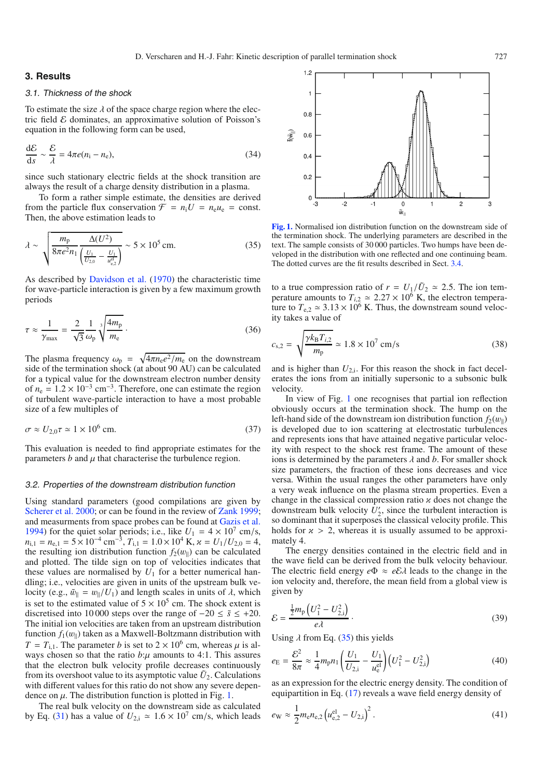# **3. Results**

#### 3.1. Thickness of the shock

<span id="page-4-1"></span>To estimate the size  $\lambda$  of the space charge region where the electric field  $\mathcal E$  dominates, an approximative solution of Poisson's equation in the following form can be used,

$$
\frac{\mathrm{d}\mathcal{E}}{\mathrm{d}s} \sim \frac{\mathcal{E}}{\lambda} = 4\pi e(n_{\rm i} - n_{\rm e}),\tag{34}
$$

since such stationary electric fields at the shock transition are always the result of a charge density distribution in a plasma.

To form a rather simple estimate, the densities are derived from the particle flux conservation  $\mathcal{F} = n_i U = n_e u_e = \text{const.}$ Then, the above estimation leads to

$$
\lambda \sim \sqrt{\frac{m_{\rm p}}{8\pi e^2 n_1} \frac{\Delta(U^2)}{\left(\frac{U_1}{U_{2,0}} - \frac{U_1}{u_{\rm e,2}^{\rm el}}\right)}} \sim 5 \times 10^5 \,\text{cm.}
$$
 (35)

As described by [Davidson et al.](#page-6-20) [\(1970\)](#page-6-20) the characteristic time for wave-particle interaction is given by a few maximum growth periods

$$
\tau \approx \frac{1}{\gamma_{\text{max}}} = \frac{2}{\sqrt{3}} \frac{1}{\omega_{\text{p}}} \sqrt[3]{\frac{4m_{\text{p}}}{m_{\text{e}}}} \,. \tag{36}
$$

The plasma frequency  $\omega_p = \sqrt{4\pi n_e e^2/m_e}$  on the downstream side of the termination shock (at about 90 AU) can be calculated for a typical value for the downstream electron number density of  $n_e = 1.2 \times 10^{-3}$  cm<sup>-3</sup>. Therefore, one can estimate the region of turbulent wave-particle interaction to have a most probable size of a few multiples of

$$
\sigma \approx U_{2,0}\tau \simeq 1 \times 10^6 \text{ cm.}
$$
 (37)

This evaluation is needed to find appropriate estimates for the parameters  $b$  and  $\mu$  that characterise the turbulence region.

#### 3.2. Properties of the downstream distribution function

Using standard parameters (good compilations are given by [Scherer et al. 2000;](#page-6-27) or can be found in the review of [Zank 1999](#page-6-1); and measurments from space probes can be found at [Gazis et al.](#page-6-28) [1994](#page-6-28)) for the quiet solar periods; i.e., like  $U_1 = 4 \times 10^7$  cm/s,  $n_{i,1} = n_{e,1} = 5 \times 10^{-4}$  cm<sup>-3</sup>,  $T_{i,1} = 1.0 \times 10^{4}$  K,  $\alpha = U_1/U_{2,0} = 4$ , the resulting ion distribution function  $f_2(w_1)$  can be calculated and plotted. The tilde sign on top of velocities indicates that these values are normalised by  $U_1$  for a better numerical handling; i.e., velocities are given in units of the upstream bulk velocity (e.g.,  $\tilde{w}_{\parallel} = w_{\parallel}/U_1$ ) and length scales in units of  $\lambda$ , which is set to the estimated value of  $5 \times 10^5$  cm. The shock extent is discretised into 10 000 steps over the range of  $-20 \leq \tilde{s} \leq +20$ . The initial ion velocities are taken from an upstream distribution function  $f_1(w_{\parallel})$  taken as a Maxwell-Boltzmann distribution with  $T = T_{1,1}$ . The parameter *b* is set to  $2 \times 10^6$  cm, whereas  $\mu$  is always chosen so that the ratio  $b:\mu$  amounts to 4:1. This assures that the electron bulk velocity profile decreases continuously from its overshoot value to its asymptotic value  $\tilde{U}_2$ . Calculations with different values for this ratio do not show any severe dependence on  $\mu$ . The distribution function is plotted in Fig. [1.](#page-4-0)

The real bulk velocity on the downstream side as calculated by Eq. [\(31\)](#page-3-2) has a value of  $U_{2,i} \approx 1.6 \times 10^7$  cm/s, which leads

<span id="page-4-0"></span>

**[Fig. 1.](http://dexter.edpsciences.org/applet.php?DOI=10.1051/0004-6361:200809950&pdf_id=1)** Normalised ion distribution function on the downstream side of the termination shock. The underlying parameters are described in the text. The sample consists of 30 000 particles. Two humps have been developed in the distribution with one reflected and one continuing beam. The dotted curves are the fit results described in Sect. [3.4.](#page-5-0)

to a true compression ratio of  $r = U_1/\tilde{U}_2 \approx 2.5$ . The ion temperature amounts to  $T_{i,2} \approx 2.27 \times 10^6$  K, the electron temperature to  $T_{e,2} \simeq 3.13 \times 10^6$  K. Thus, the downstream sound velocity takes a value of

$$
c_{s,2} = \sqrt{\frac{\gamma k_B T_{i,2}}{m_p}} \simeq 1.8 \times 10^7 \text{ cm/s}
$$
 (38)

and is higher than  $U_{2,i}$ . For this reason the shock in fact decelerates the ions from an initially supersonic to a subsonic bulk velocity.

In view of Fig. [1](#page-4-0) one recognises that partial ion reflection obviously occurs at the termination shock. The hump on the left-hand side of the downstream ion distribution function  $f_2(w_1)$ is developed due to ion scattering at electrostatic turbulences and represents ions that have attained negative particular velocity with respect to the shock rest frame. The amount of these ions is determined by the parameters  $\lambda$  and  $b$ . For smaller shock size parameters, the fraction of these ions decreases and vice versa. Within the usual ranges the other parameters have only a very weak influence on the plasma stream properties. Even a change in the classical compression ratio  $\alpha$  does not change the downstream bulk velocity  $U_2'$ , since the turbulent interaction is so dominant that it superposes the classical velocity profile. This holds for  $x > 2$ , whereas it is usually assumed to be approximately 4.

The energy densities contained in the electric field and in the wave field can be derived from the bulk velocity behaviour. The electric field energy  $e\Phi \approx e\mathcal{E}\lambda$  leads to the change in the ion velocity and, therefore, the mean field from a global view is given by

$$
\mathcal{E} = \frac{\frac{1}{2}m_{\rm p}\left(U_1^2 - U_{2,\rm i}^2\right)}{e\lambda} \,. \tag{39}
$$

Using  $\lambda$  from Eq. [\(35\)](#page-4-1) this yields

$$
e_{\rm E} = \frac{\mathcal{E}^2}{8\pi} \approx \frac{1}{4} m_{\rm p} n_1 \left( \frac{U_1}{U_{2,i}} - \frac{U_1}{u_{\rm e}^{\rm el}} \right) \left( U_1^2 - U_{2,i}^2 \right) \tag{40}
$$

as an expression for the electric energy density. The condition of equipartition in Eq. [\(17\)](#page-2-4) reveals a wave field energy density of

$$
e_{\rm W} \approx \frac{1}{2} m_{\rm e} n_{\rm e,2} \left( u_{\rm e,2}^{\rm el} - U_{2,\rm i} \right)^2. \tag{41}
$$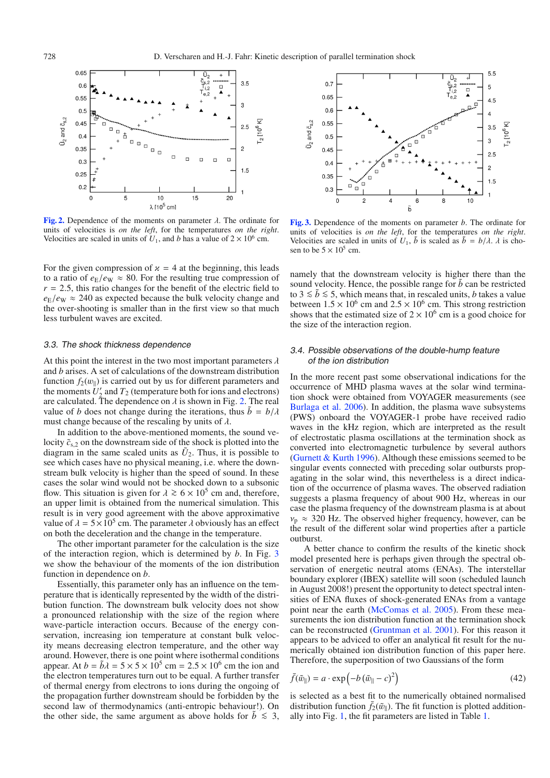<span id="page-5-1"></span>

**[Fig. 2.](http://dexter.edpsciences.org/applet.php?DOI=10.1051/0004-6361:200809950&pdf_id=2)** Dependence of the moments on parameter  $\lambda$ . The ordinate for units of velocities is *on the left*, for the temperatures *on the right*. Velocities are scaled in units of  $U_1$ , and *b* has a value of  $2 \times 10^6$  cm.

For the given compression of  $x = 4$  at the beginning, this leads to a ratio of  $e_{\rm E}/e_{\rm W} \approx 80$ . For the resulting true compression of  $r = 2.5$ , this ratio changes for the benefit of the electric field to  $e_{\rm E}/e_{\rm W} \approx 240$  as expected because the bulk velocity change and the over-shooting is smaller than in the first view so that much less turbulent waves are excited.

#### 3.3. The shock thickness dependence

At this point the interest in the two most important parameters  $\lambda$ and *b* arises. A set of calculations of the downstream distribution function  $f_2(w_{\parallel})$  is carried out by us for different parameters and the moments  $U_2'$  and  $T_2$  (temperature both for ions and electrons) are calculated. The dependence on  $\lambda$  is shown in Fig. [2.](#page-5-1) The real value of *b* does not change during the iterations, thus  $\tilde{b} = b/\lambda$ must change because of the rescaling by units of  $\lambda$ .

In addition to the above-mentioned moments, the sound velocity  $\tilde{c}_{s,2}$  on the downstream side of the shock is plotted into the diagram in the same scaled units as  $\tilde{U}_2$ . Thus, it is possible to see which cases have no physical meaning, i.e. where the downstream bulk velocity is higher than the speed of sound. In these cases the solar wind would not be shocked down to a subsonic flow. This situation is given for  $\lambda \ge 6 \times 10^5$  cm and, therefore, an upper limit is obtained from the numerical simulation. This result is in very good agreement with the above approximative value of  $\lambda = 5 \times 10^5$  cm. The parameter  $\lambda$  obviously has an effect on both the deceleration and the change in the temperature.

The other important parameter for the calculation is the size of the interaction region, which is determined by *b*. In Fig. [3](#page-5-2) we show the behaviour of the moments of the ion distribution function in dependence on *b*.

Essentially, this parameter only has an influence on the temperature that is identically represented by the width of the distribution function. The downstream bulk velocity does not show a pronounced relationship with the size of the region where wave-particle interaction occurs. Because of the energy conservation, increasing ion temperature at constant bulk velocity means decreasing electron temperature, and the other way around. However, there is one point where isothermal conditions appear. At  $b = \tilde{b}\lambda = 5 \times 5 \times 10^5$  cm =  $2.5 \times 10^6$  cm the ion and the electron temperatures turn out to be equal. A further transfer of thermal energy from electrons to ions during the ongoing of the propagation further downstream should be forbidden by the second law of thermodynamics (anti-entropic behaviour!). On the other side, the same argument as above holds for  $\tilde{b} \leq 3$ ,

<span id="page-5-2"></span>

**[Fig. 3.](http://dexter.edpsciences.org/applet.php?DOI=10.1051/0004-6361:200809950&pdf_id=3)** Dependence of the moments on parameter *b*. The ordinate for units of velocities is *on the left*, for the temperatures *on the right*. Velocities are scaled in units of  $U_1$ ,  $\bar{b}$  is scaled as  $\bar{b} = b/\lambda$ .  $\lambda$  is chosen to be  $5 \times 10^5$  cm.

namely that the downstream velocity is higher there than the sound velocity. Hence, the possible range for *b* can be restricted to 3  $\leq$  *b* ≤ 5, which means that, in rescaled units, *b* takes a value between  $1.5 \times 10^6$  cm and  $2.5 \times 10^6$  cm. This strong restriction shows that the estimated size of  $2 \times 10^6$  cm is a good choice for the size of the interaction region.

## <span id="page-5-0"></span>3.4. Possible observations of the double-hump feature of the ion distribution

In the more recent past some observational indications for the occurrence of MHD plasma waves at the solar wind termination shock were obtained from VOYAGER measurements (see [Burlaga et al. 2006\)](#page-6-11). In addition, the plasma wave subsystems (PWS) onboard the VOYAGER-1 probe have received radio waves in the kHz region, which are interpreted as the result of electrostatic plasma oscillations at the termination shock as converted into electromagnetic turbulence by several authors [\(Gurnett & Kurth 1996](#page-6-29)). Although these emissions seemed to be singular events connected with preceding solar outbursts propagating in the solar wind, this nevertheless is a direct indication of the occurrence of plasma waves. The observed radiation suggests a plasma frequency of about 900 Hz, whereas in our case the plasma frequency of the downstream plasma is at about  $v_p \approx 320$  Hz. The observed higher frequency, however, can be the result of the different solar wind properties after a particle outburst.

<span id="page-5-3"></span>A better chance to confirm the results of the kinetic shock model presented here is perhaps given through the spectral observation of energetic neutral atoms (ENAs). The interstellar boundary explorer (IBEX) satellite will soon (scheduled launch in August 2008!) present the opportunity to detect spectral intensities of ENA fluxes of shock-generated ENAs from a vantage point near the earth [\(McComas et al. 2005](#page-6-30)). From these measurements the ion distribution function at the termination shock can be reconstructed [\(Gruntman et al. 2001\)](#page-6-31). For this reason it appears to be adviced to offer an analytical fit result for the numerically obtained ion distribution function of this paper here. Therefore, the superposition of two Gaussians of the form

$$
\bar{f}(\tilde{w}_{\parallel}) = a \cdot \exp\left(-b\left(\tilde{w}_{\parallel} - c\right)^2\right) \tag{42}
$$

is selected as a best fit to the numerically obtained normalised distribution function  $f_2(\tilde{w}_{\parallel})$ . The fit function is plotted additionally into Fig. [1,](#page-4-0) the fit parameters are listed in Table [1.](#page-6-32)